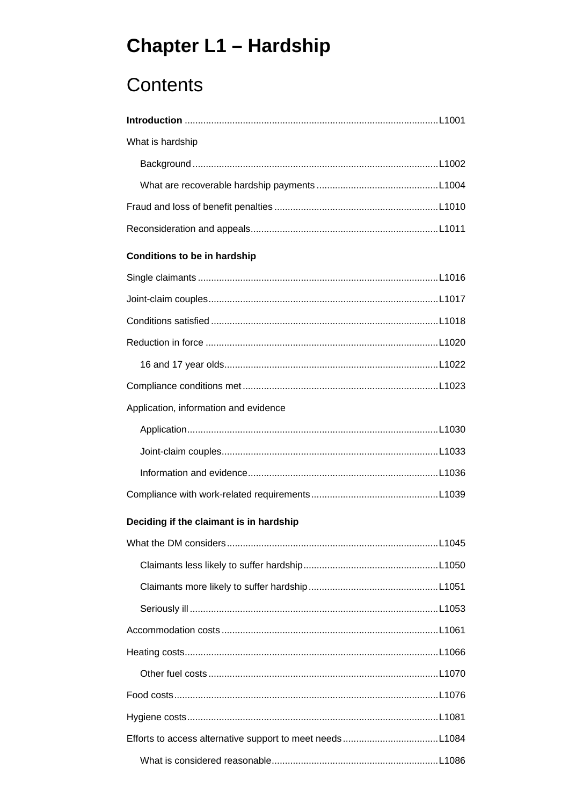# **Chapter L1 - Hardship**

# Contents

| What is hardship |  |
|------------------|--|
|                  |  |
|                  |  |
|                  |  |
|                  |  |

#### **Conditions to be in hardship**

| Application, information and evidence |  |
|---------------------------------------|--|
|                                       |  |
|                                       |  |
|                                       |  |
|                                       |  |

#### Deciding if the claimant is in hardship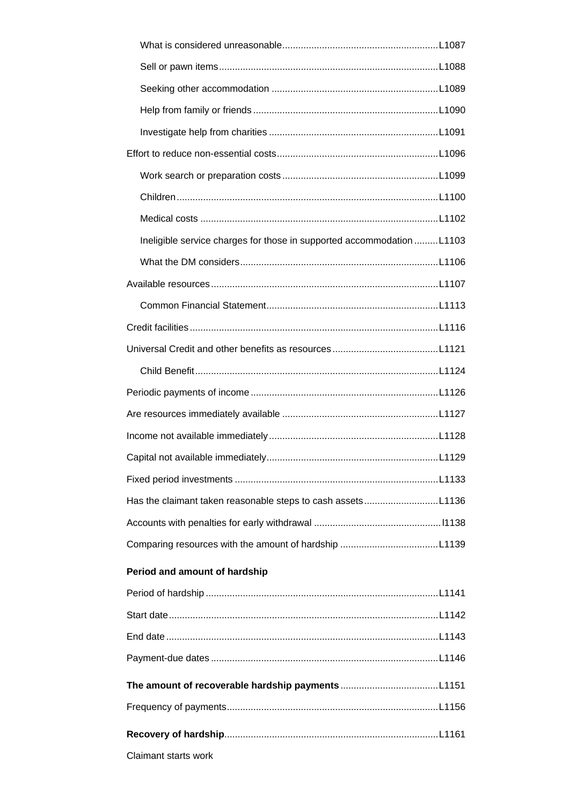| Ineligible service charges for those in supported accommodation L1103 |  |
|-----------------------------------------------------------------------|--|
|                                                                       |  |
|                                                                       |  |
|                                                                       |  |
|                                                                       |  |
|                                                                       |  |
|                                                                       |  |
|                                                                       |  |
|                                                                       |  |
|                                                                       |  |
|                                                                       |  |
|                                                                       |  |
| Has the claimant taken reasonable steps to cash assetsL1136           |  |
|                                                                       |  |
|                                                                       |  |
| Period and amount of hardship                                         |  |
|                                                                       |  |
|                                                                       |  |
|                                                                       |  |
|                                                                       |  |
|                                                                       |  |
|                                                                       |  |
|                                                                       |  |
| Claimant starts work                                                  |  |
|                                                                       |  |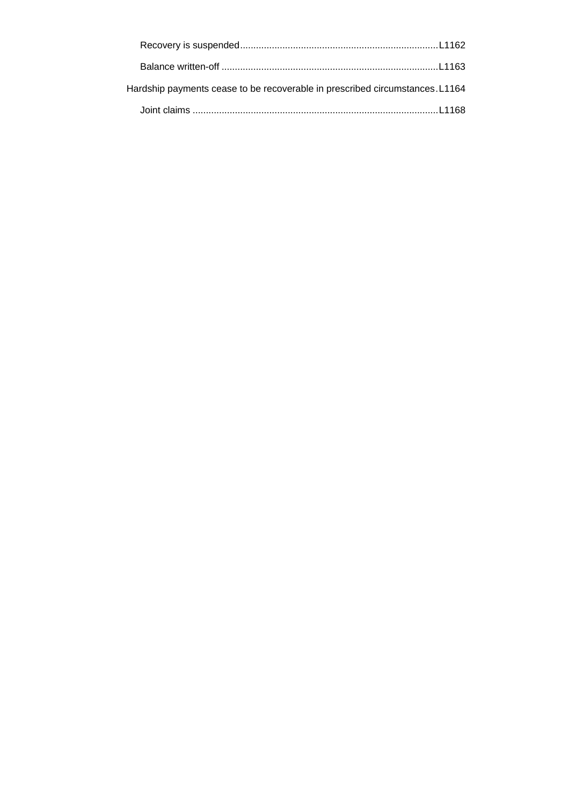| Hardship payments cease to be recoverable in prescribed circumstances. L1164 |  |
|------------------------------------------------------------------------------|--|
|                                                                              |  |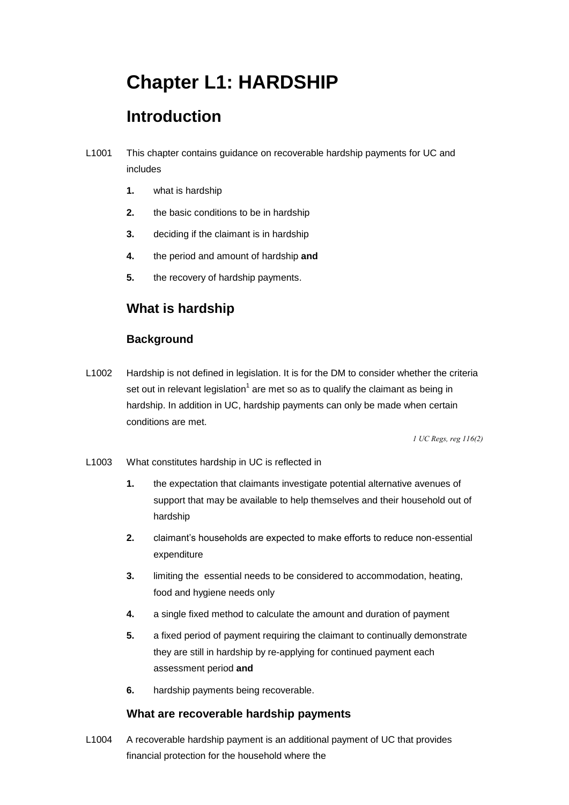# **Chapter L1: HARDSHIP**

# **Introduction**

- L1001 This chapter contains guidance on recoverable hardship payments for UC and includes
	- **1.** what is hardship
	- **2.** the basic conditions to be in hardship
	- **3.** deciding if the claimant is in hardship
	- **4.** the period and amount of hardship **and**
	- **5.** the recovery of hardship payments.

### **What is hardship**

### **Background**

L1002 Hardship is not defined in legislation. It is for the DM to consider whether the criteria set out in relevant legislation<sup>1</sup> are met so as to qualify the claimant as being in hardship. In addition in UC, hardship payments can only be made when certain conditions are met.

 *1 UC Regs, reg 116(2)* 

- L1003 What constitutes hardship in UC is reflected in
	- **1.** the expectation that claimants investigate potential alternative avenues of support that may be available to help themselves and their household out of hardship
	- **2.** claimant's households are expected to make efforts to reduce non-essential expenditure
	- **3.** limiting the essential needs to be considered to accommodation, heating, food and hygiene needs only
	- **4.** a single fixed method to calculate the amount and duration of payment
	- **5.** a fixed period of payment requiring the claimant to continually demonstrate  assessment period **and**  they are still in hardship by re-applying for continued payment each
	- **6.** hardship payments being recoverable.

### **What are recoverable hardship payments**

L1004 A recoverable hardship payment is an additional payment of UC that provides financial protection for the household where the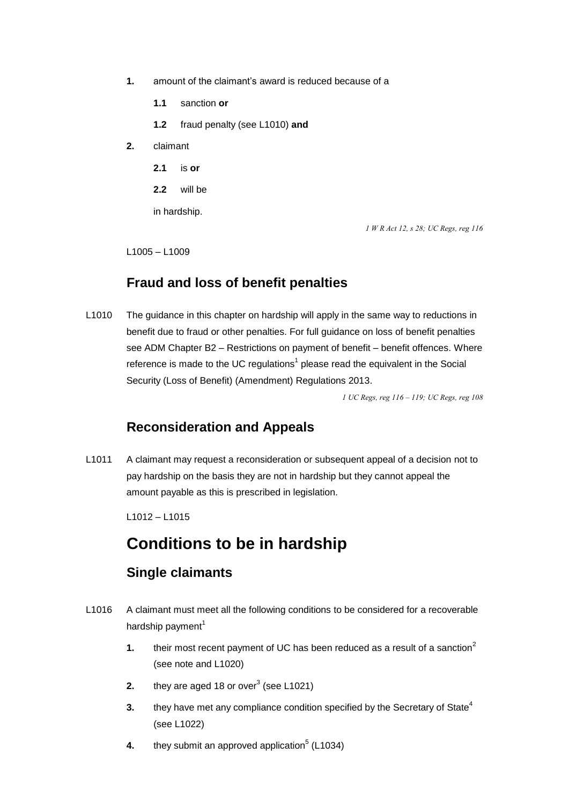- **1.** amount of the claimant's award is reduced because of a
	- $1.1$ **1.1** sanction **or**
	- **1.2** fraud penalty (see L1010) **and**
- **2.** claimant
	- $2.1$ **2.1** is **or**
	- **2.2** will be

in hardship.

 *1 W R Act 12, s 28; UC Regs, reg 116* 

L1005 – L1009

### **Fraud and loss of benefit penalties**

L1010 The guidance in this chapter on hardship will apply in the same way to reductions in benefit due to fraud or other penalties. For full guidance on loss of benefit penalties see ADM Chapter B2 - Restrictions on payment of benefit - benefit offences. Where reference is made to the UC regulations<sup>1</sup> please read the equivalent in the Social Security (Loss of Benefit) (Amendment) Regulations 2013.

 *1 UC Regs, reg 116 – 119; UC Regs, reg 108* 

### **Reconsideration and Appeals**

L1011 A claimant may request a reconsideration or subsequent appeal of a decision not to pay hardship on the basis they are not in hardship but they cannot appeal the amount payable as this is prescribed in legislation.

L1012 – L1015

### **Conditions to be in hardship**

### **Single claimants**

- hardship payment<sup>1</sup> L1016 A claimant must meet all the following conditions to be considered for a recoverable
	- **1.** their most recent payment of UC has been reduced as a result of a sanction<sup>2</sup> (see note and L1020)
	- **2.** they are aged 18 or over<sup>3</sup> (see L1021)
	- (see L1022) **3.** they have met any compliance condition specified by the Secretary of State<sup>4</sup>
	- **4.** they submit an approved application<sup>5</sup> (L1034)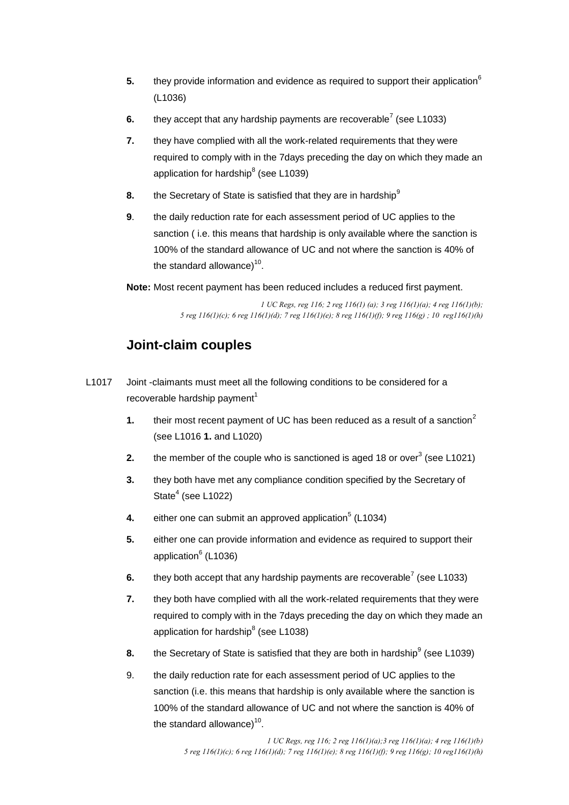- **5.** they provide information and evidence as required to support their application<sup>6</sup> (L1036)
- **6.** they accept that any hardship payments are recoverable<sup>7</sup> (see L1033)
- application for hardship $^8$  (see L1039) **7.** they have complied with all the work-related requirements that they were required to comply with in the 7days preceding the day on which they made an
- **8.** the Secretary of State is satisfied that they are in hardship<sup>9</sup>
- **9**. the daily reduction rate for each assessment period of UC applies to the sanction ( i.e. this means that hardship is only available where the sanction is 100% of the standard allowance of UC and not where the sanction is 40% of the standard allowance) $10$ .

**Note:** Most recent payment has been reduced includes a reduced first payment.

 *1 UC Regs, reg 116; 2 reg 116(1) (a); 3 reg 116(1)(a); 4 reg 116(1)(b); 5 reg 116(1)(c); 6 reg 116(1)(d); 7 reg 116(1)(e); 8 reg 116(1)(f); 9 reg 116(g) ; 10 reg116(1)(h)* 

### **Joint-claim couples**

- L1017 Joint -claimants must meet all the following conditions to be considered for a recoverable hardship payment<sup>1</sup>
	- (see L1016 **1.** and L1020) **1.** their most recent payment of UC has been reduced as a result of a sanction<sup>2</sup>
	- **2.** the member of the couple who is sanctioned is aged 18 or over<sup>3</sup> (see L1021)
	- **3.** they both have met any compliance condition specified by the Secretary of State $<sup>4</sup>$  (see L1022)</sup>
	- **4.** either one can submit an approved application<sup>5</sup> (L1034)
	- application<sup>6</sup> (L1036) **5.** either one can provide information and evidence as required to support their
	- **6.** they both accept that any hardship payments are recoverable<sup>7</sup> (see L1033)
	- **7.** they both have complied with all the work-related requirements that they were required to comply with in the 7days preceding the day on which they made an application for hardship $8$  (see L1038)
	- **8.** the Secretary of State is satisfied that they are both in hardship<sup>9</sup> (see L1039)
	- 9. the daily reduction rate for each assessment period of UC applies to the sanction (i.e. this means that hardship is only available where the sanction is 100% of the standard allowance of UC and not where the sanction is 40% of the standard allowance $1^{10}$ .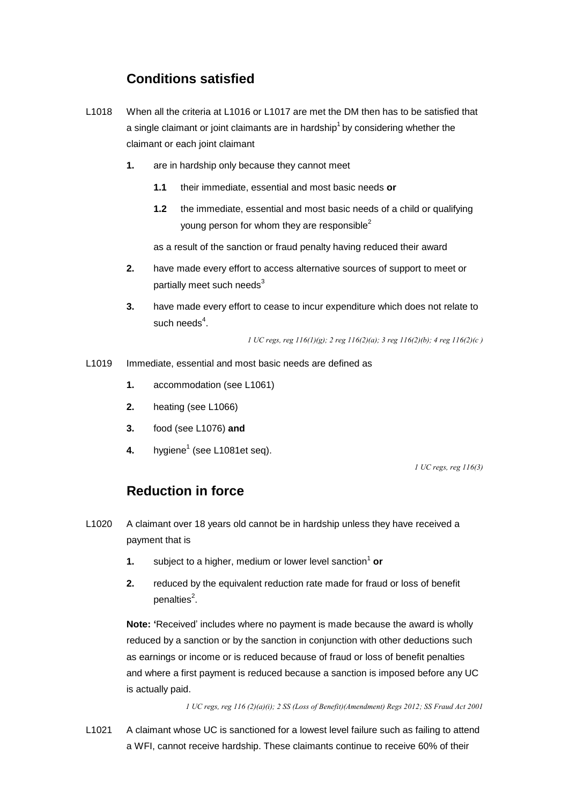### **Conditions satisfied**

- L1018 When all the criteria at L1016 or L1017 are met the DM then has to be satisfied that claimant or each joint claimant a single claimant or joint claimants are in hardship<sup>1</sup> by considering whether the
	- **1.** are in hardship only because they cannot meet
		- their immediate, essential and most basic needs or
		- **1.1** their immediate, essential and most basic needs **or**<br>**1.2** the immediate, essential and most basic needs of a child or qualifying young person for whom they are responsible<sup>2</sup>

as a result of the sanction or fraud penalty having reduced their award

- **2.** have made every effort to access alternative sources of support to meet or partially meet such needs $3$
- such needs $4$ . **3.** have made every effort to cease to incur expenditure which does not relate to

 *1 UC regs, reg 116(1)(g); 2 reg 116(2)(a); 3 reg 116(2)(b); 4 reg 116(2)(c )* 

- L1019 Immediate, essential and most basic needs are defined as
	- **1.** accommodation (see L1061)
	- **2.** heating (see L1066)
	- **3.** food (see L1076) **and**
	- **4.** hygiene<sup>1</sup> (see L1081et seq).

 *1 UC regs, reg 116(3)* 

### **Reduction in force**

- L1020 A claimant over 18 years old cannot be in hardship unless they have received a payment that is
	- **1.** subject to a higher, medium or lower level sanction<sup>1</sup> or
	- **2.** reduced by the equivalent reduction rate made for fraud or loss of benefit penalties<sup>2</sup>.

 **Note: '**Received' includes where no payment is made because the award is wholly reduced by a sanction or by the sanction in conjunction with other deductions such as earnings or income or is reduced because of fraud or loss of benefit penalties and where a first payment is reduced because a sanction is imposed before any UC is actually paid.

 *1 UC regs, reg 116 (2)(a)(i); 2 SS (Loss of Benefit)(Amendment) Regs 2012; SS Fraud Act 2001* 

L1021 A claimant whose UC is sanctioned for a lowest level failure such as failing to attend a WFI, cannot receive hardship. These claimants continue to receive 60% of their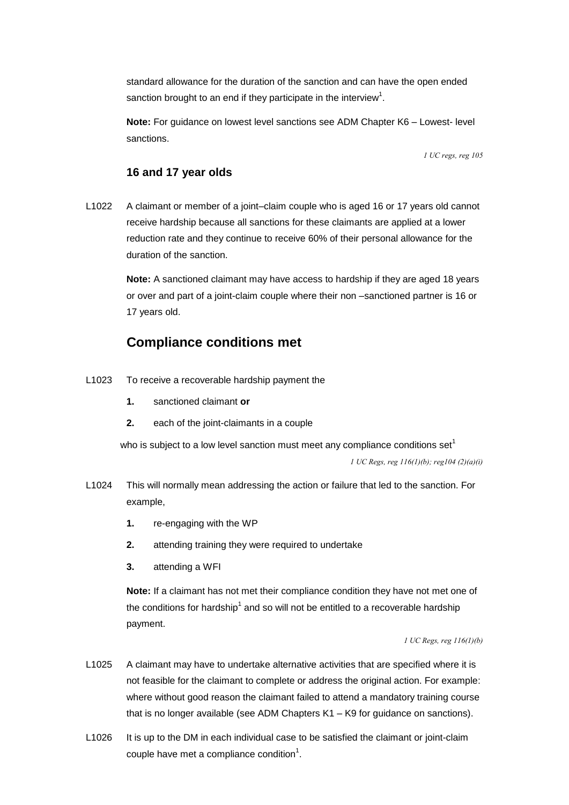standard allowance for the duration of the sanction and can have the open ended sanction brought to an end if they participate in the interview<sup>1</sup>.

 **Note:** For guidance on lowest level sanctions see ADM Chapter K6 – Lowest- level sanctions.

 *1 UC regs, reg 105* 

#### **16 and 17 year olds**

L1022 A claimant or member of a joint–claim couple who is aged 16 or 17 years old cannot receive hardship because all sanctions for these claimants are applied at a lower reduction rate and they continue to receive 60% of their personal allowance for the duration of the sanction.

> **Note:** A sanctioned claimant may have access to hardship if they are aged 18 years or over and part of a joint-claim couple where their non –sanctioned partner is 16 or 17 years old.

### **Compliance conditions met**

- L1023 To receive a recoverable hardship payment the
	- **1.** sanctioned claimant **or**
	- $2.$ **2.** each of the joint-claimants in a couple

who is subject to a low level sanction must meet any compliance conditions set<sup>1</sup>  *1 UC Regs, reg 116(1)(b); reg104 (2)(a)(i)* 

- example, L1024 This will normally mean addressing the action or failure that led to the sanction. For
	- **1.** re-engaging with the WP
	- **2.** attending training they were required to undertake
	- **3.** attending a WFI

**Note:** If a claimant has not met their compliance condition they have not met one of the conditions for hardship<sup>1</sup> and so will not be entitled to a recoverable hardship payment.

#### *1 UC Regs, reg 116(1)(b)*

- L1025 A claimant may have to undertake alternative activities that are specified where it is that is no longer available (see ADM Chapters K1 – K9 for guidance on sanctions). not feasible for the claimant to complete or address the original action. For example: where without good reason the claimant failed to attend a mandatory training course
- L1026 It is up to the DM in each individual case to be satisfied the claimant or joint-claim couple have met a compliance condition $1$ .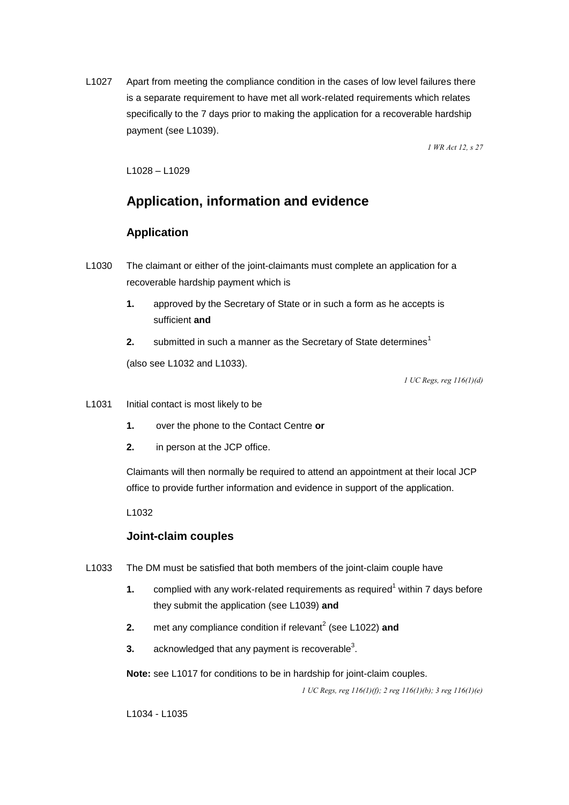L1027 Apart from meeting the compliance condition in the cases of low level failures there is a separate requirement to have met all work-related requirements which relates specifically to the 7 days prior to making the application for a recoverable hardship payment (see L1039).

 *1 WR Act 12, s 27* 

L1028 – L1029

### **Application, information and evidence**

#### **Application**

- recoverable hardship payment which is L1030 The claimant or either of the joint-claimants must complete an application for a
	- sufficient and **1.** approved by the Secretary of State or in such a form as he accepts is
	- sufficient **and**<br>2. submitted in such a manner as the Secretary of State determines<sup>1</sup>

(also see L1032 and L1033).

 *1 UC Regs, reg 116(1)(d)* 

- L1031 Initial contact is most likely to be
	- $\mathbf{1}$ **1.** over the phone to the Contact Centre **or**
	- in person at the JCP office.

 Claimants will then normally be required to attend an appointment at their local JCP office to provide further information and evidence in support of the application.

L1032

#### **Joint-claim couples**

- L1033 The DM must be satisfied that both members of the joint-claim couple have
	- they submit the application (see L1039) **and 1.** complied with any work-related requirements as required<sup>1</sup> within 7 days before
	- **2.** met any compliance condition if relevant<sup>2</sup> (see L1022) and
	- **3.**  $\alpha$  acknowledged that any payment is recoverable<sup>3</sup>.

**Note:** see L1017 for conditions to be in hardship for joint-claim couples.

 *1 UC Regs, reg 116(1)(f); 2 reg 116(1)(b); 3 reg 116(1)(e)* 

L1034 - L1035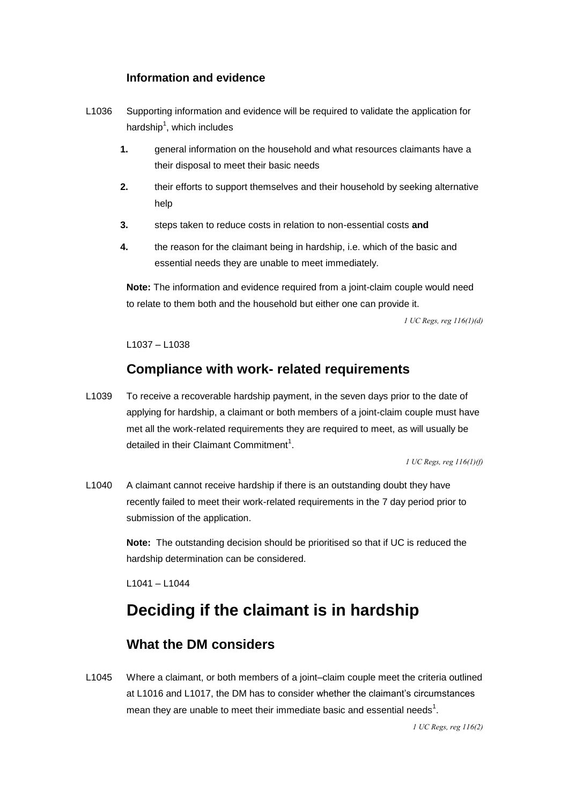### **Information and evidence**

- L1036 Supporting information and evidence will be required to validate the application for hardship<sup>1</sup>, which includes
	- **1.** general information on the household and what resources claimants have a their disposal to meet their basic needs
	- **2.** their efforts to support themselves and their household by seeking alternative help
	- **3.** steps taken to reduce costs in relation to non-essential costs **and**
	- **4.** the reason for the claimant being in hardship, i.e. which of the basic and essential needs they are unable to meet immediately.

**Note:** The information and evidence required from a joint-claim couple would need to relate to them both and the household but either one can provide it.

 *1 UC Regs, reg 116(1)(d)* 

L1037 – L1038

### **Compliance with work- related requirements**

L1039 To receive a recoverable hardship payment, in the seven days prior to the date of applying for hardship, a claimant or both members of a joint-claim couple must have met all the work-related requirements they are required to meet, as will usually be detailed in their Claimant Commitment<sup>1</sup>.

 *1 UC Regs, reg 116(1)(f)* 

 recently failed to meet their work-related requirements in the 7 day period prior to L1040 A claimant cannot receive hardship if there is an outstanding doubt they have submission of the application.

> **Note:** The outstanding decision should be prioritised so that if UC is reduced the hardship determination can be considered.

L1041 – L1044

# **Deciding if the claimant is in hardship**

### **What the DM considers**

L1045 Where a claimant, or both members of a joint–claim couple meet the criteria outlined at L1016 and L1017, the DM has to consider whether the claimant's circumstances mean they are unable to meet their immediate basic and essential needs<sup>1</sup>.

 *1 UC Regs, reg 116(2)*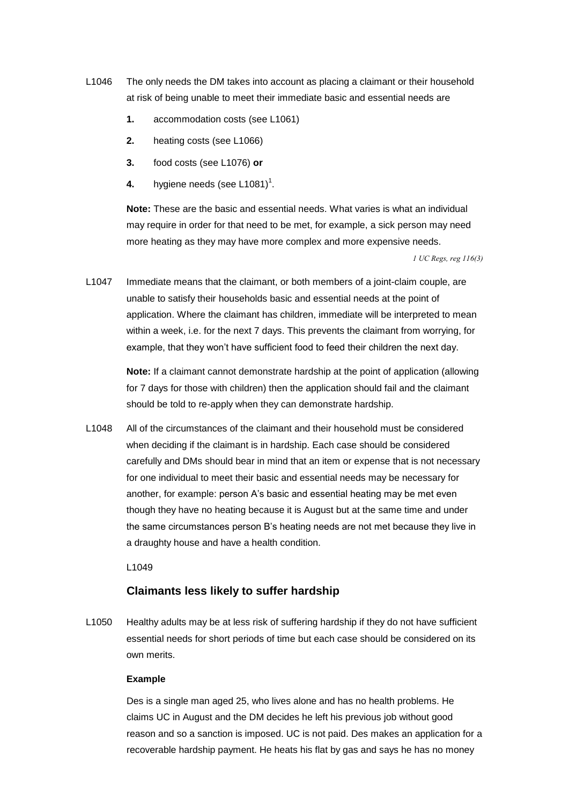- L1046 The only needs the DM takes into account as placing a claimant or their household at risk of being unable to meet their immediate basic and essential needs are
	- **1.** accommodation costs (see L1061)
	- **2.** heating costs (see L1066)
	- **3.** food costs (see L1076) **or**
	- **4.** hygiene needs (see  $L1081$ <sup> $\text{+}$ </sup>.

**Note:** These are the basic and essential needs. What varies is what an individual may require in order for that need to be met, for example, a sick person may need more heating as they may have more complex and more expensive needs.

 *1 UC Regs, reg 116(3)* 

L1047 Immediate means that the claimant, or both members of a joint-claim couple, are unable to satisfy their households basic and essential needs at the point of application. Where the claimant has children, immediate will be interpreted to mean within a week, i.e. for the next 7 days. This prevents the claimant from worrying, for example, that they won't have sufficient food to feed their children the next day.

> **Note:** If a claimant cannot demonstrate hardship at the point of application (allowing for 7 days for those with children) then the application should fail and the claimant should be told to re-apply when they can demonstrate hardship.

 for one individual to meet their basic and essential needs may be necessary for L1048 All of the circumstances of the claimant and their household must be considered when deciding if the claimant is in hardship. Each case should be considered carefully and DMs should bear in mind that an item or expense that is not necessary another, for example: person A's basic and essential heating may be met even though they have no heating because it is August but at the same time and under the same circumstances person B's heating needs are not met because they live in a draughty house and have a health condition.

L1049

#### **Claimants less likely to suffer hardship**

L1050 Healthy adults may be at less risk of suffering hardship if they do not have sufficient essential needs for short periods of time but each case should be considered on its own merits.

#### **Example**

Des is a single man aged 25, who lives alone and has no health problems. He claims UC in August and the DM decides he left his previous job without good reason and so a sanction is imposed. UC is not paid. Des makes an application for a recoverable hardship payment. He heats his flat by gas and says he has no money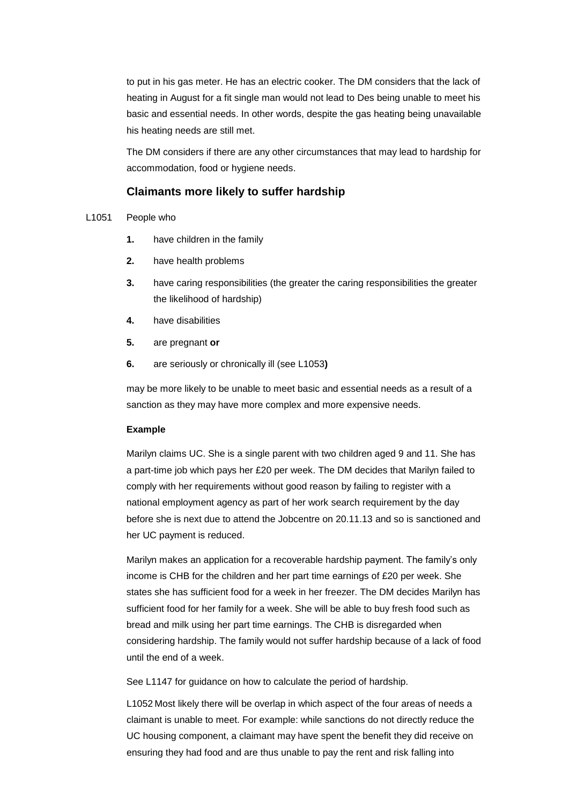to put in his gas meter. He has an electric cooker. The DM considers that the lack of heating in August for a fit single man would not lead to Des being unable to meet his basic and essential needs. In other words, despite the gas heating being unavailable his heating needs are still met.

 accommodation, food or hygiene needs. The DM considers if there are any other circumstances that may lead to hardship for

#### **Claimants more likely to suffer hardship**

#### L1051 People who

- **1.** have children in the family
- **2.** have health problems
- **3.** have caring responsibilities (the greater the caring responsibilities the greater the likelihood of hardship)
- **4.** have disabilities
- **5.** are pregnant **or**
- **6.** are seriously or chronically ill (see L1053**)**

may be more likely to be unable to meet basic and essential needs as a result of a sanction as they may have more complex and more expensive needs.

#### **Example**

 Marilyn claims UC. She is a single parent with two children aged 9 and 11. She has a part-time job which pays her £20 per week. The DM decides that Marilyn failed to comply with her requirements without good reason by failing to register with a national employment agency as part of her work search requirement by the day before she is next due to attend the Jobcentre on 20.11.13 and so is sanctioned and her UC payment is reduced.

 income is CHB for the children and her part time earnings of £20 per week. She states she has sufficient food for a week in her freezer. The DM decides Marilyn has until the end of a week. Marilyn makes an application for a recoverable hardship payment. The family's only sufficient food for her family for a week. She will be able to buy fresh food such as bread and milk using her part time earnings. The CHB is disregarded when considering hardship. The family would not suffer hardship because of a lack of food

See L1147 for guidance on how to calculate the period of hardship.

L1052 Most likely there will be overlap in which aspect of the four areas of needs a claimant is unable to meet. For example: while sanctions do not directly reduce the UC housing component, a claimant may have spent the benefit they did receive on ensuring they had food and are thus unable to pay the rent and risk falling into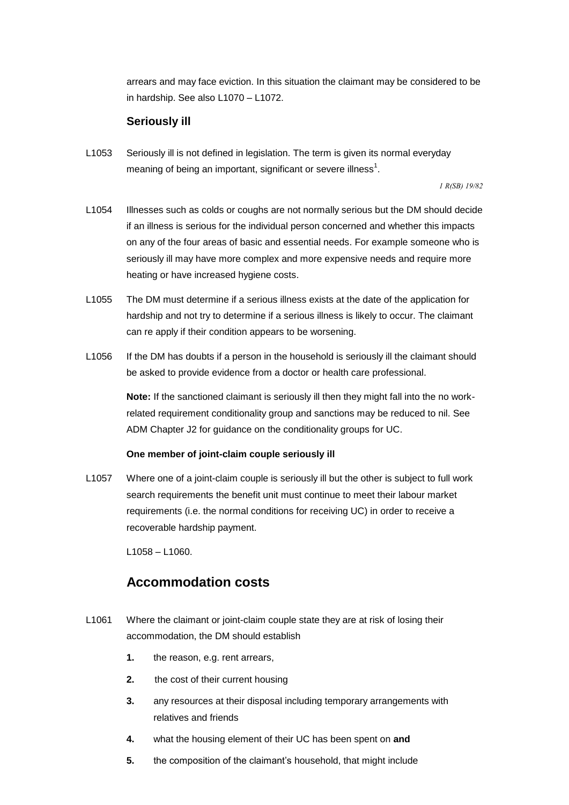in hardship. See also L1070 – L1072. arrears and may face eviction. In this situation the claimant may be considered to be

#### **Seriously ill**

L1053 Seriously ill is not defined in legislation. The term is given its normal everyday meaning of being an important, significant or severe illness<sup>1</sup>.

 *1 R(SB) 19/82* 

- L1054 Illnesses such as colds or coughs are not normally serious but the DM should decide if an illness is serious for the individual person concerned and whether this impacts on any of the four areas of basic and essential needs. For example someone who is seriously ill may have more complex and more expensive needs and require more heating or have increased hygiene costs.
- L1055 The DM must determine if a serious illness exists at the date of the application for hardship and not try to determine if a serious illness is likely to occur. The claimant can re apply if their condition appears to be worsening.
- be asked to provide evidence from a doctor or health care professional. L1056 If the DM has doubts if a person in the household is seriously ill the claimant should

 related requirement conditionality group and sanctions may be reduced to nil. See **Note:** If the sanctioned claimant is seriously ill then they might fall into the no work-ADM Chapter J2 for guidance on the conditionality groups for UC.

#### **One member of joint-claim couple seriously ill**

L1057 Where one of a joint-claim couple is seriously ill but the other is subject to full work search requirements the benefit unit must continue to meet their labour market requirements (i.e. the normal conditions for receiving UC) in order to receive a recoverable hardship payment.

L1058 – L1060.

### **Accommodation costs**

- L1061 Where the claimant or joint-claim couple state they are at risk of losing their accommodation, the DM should establish
	- **1.** the reason, e.g. rent arrears,
	- **2.** the cost of their current housing
	- **3.** any resources at their disposal including temporary arrangements with relatives and friends
	- **4.** what the housing element of their UC has been spent on **and**
	- **5.** the composition of the claimant's household, that might include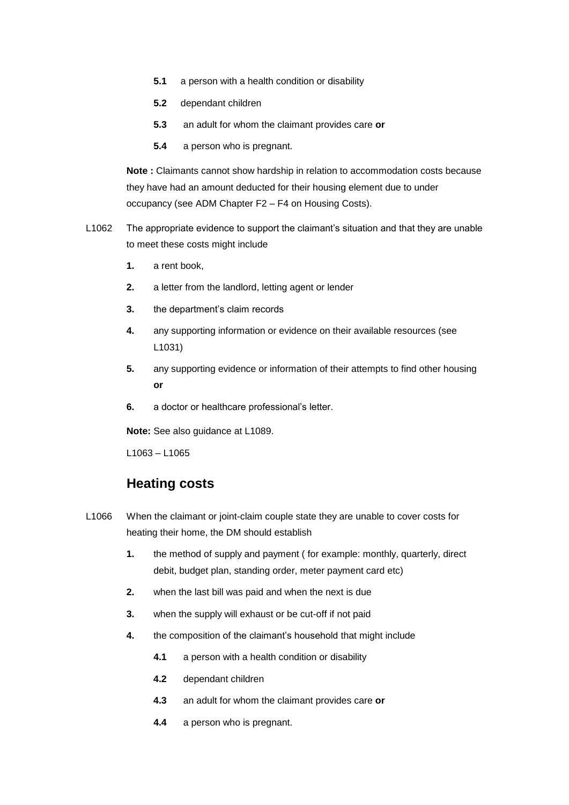- $5.1$ a person with a health condition or disability
- **5.2** dependant children
- **5.3** an adult for whom the claimant provides care **or**
- **5.4** a person who is pregnant.

**Note :** Claimants cannot show hardship in relation to accommodation costs because they have had an amount deducted for their housing element due to under occupancy (see ADM Chapter F2 – F4 on Housing Costs).

- L1062 The appropriate evidence to support the claimant's situation and that they are unable to meet these costs might include
	- **1.** a rent book,
	- **2.** a letter from the landlord, letting agent or lender
	- **3.** the department's claim records
	- **4.** any supporting information or evidence on their available resources (see L1031)
	- **5.** any supporting evidence or information of their attempts to find other housing **or**
	- **6.** a doctor or healthcare professional's letter.

**Note:** See also guidance at L1089.

L1063 – L1065

### **Heating costs**

- L1066 When the claimant or joint-claim couple state they are unable to cover costs for heating their home, the DM should establish
	- **1.** the method of supply and payment ( for example: monthly, quarterly, direct debit, budget plan, standing order, meter payment card etc)
	- **2.** when the last bill was paid and when the next is due
	- **3.** when the supply will exhaust or be cut-off if not paid
	- **4.** the composition of the claimant's household that might include
		- $4.1$ a person with a health condition or disability
		- **4.2** dependant children
		- **4.3** an adult for whom the claimant provides care **or**
		- a person who is pregnant.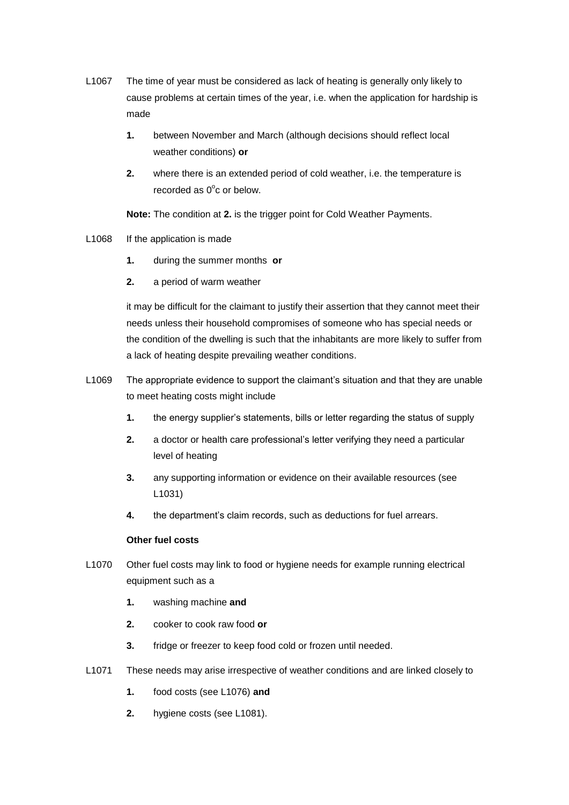- L1067 The time of year must be considered as lack of heating is generally only likely to cause problems at certain times of the year, i.e. when the application for hardship is made
	- **1.** between November and March (although decisions should reflect local weather conditions) **or**
	- **2.** where there is an extended period of cold weather, i.e. the temperature is recorded as  $0^{\circ}$ c or below.

**Note:** The condition at **2.** is the trigger point for Cold Weather Payments.

- L1068 If the application is made
	- **1.** during the summer months **or**
	- **2.** a period of warm weather

it may be difficult for the claimant to justify their assertion that they cannot meet their needs unless their household compromises of someone who has special needs or the condition of the dwelling is such that the inhabitants are more likely to suffer from a lack of heating despite prevailing weather conditions.

- L1069 The appropriate evidence to support the claimant's situation and that they are unable to meet heating costs might include
	- **1.** the energy supplier's statements, bills or letter regarding the status of supply
	- level of heating **2.** a doctor or health care professional's letter verifying they need a particular
	- **3.** any supporting information or evidence on their available resources (see L1031)
	- **4.** the department's claim records, such as deductions for fuel arrears.

#### **Other fuel costs**

- L1070 Other fuel costs may link to food or hygiene needs for example running electrical equipment such as a
	- **1.** washing machine **and**
	- **2.** cooker to cook raw food **or**
	- fridge or freezer to keep food cold or frozen until needed.
- **3.** fridge or freezer to keep food cold or frozen until needed.<br>L1071 These needs may arise irrespective of weather conditions and are linked closely to
	-
	- **1.** food costs (see L1076) **and**<br>**2.** hygiene costs (see L1081).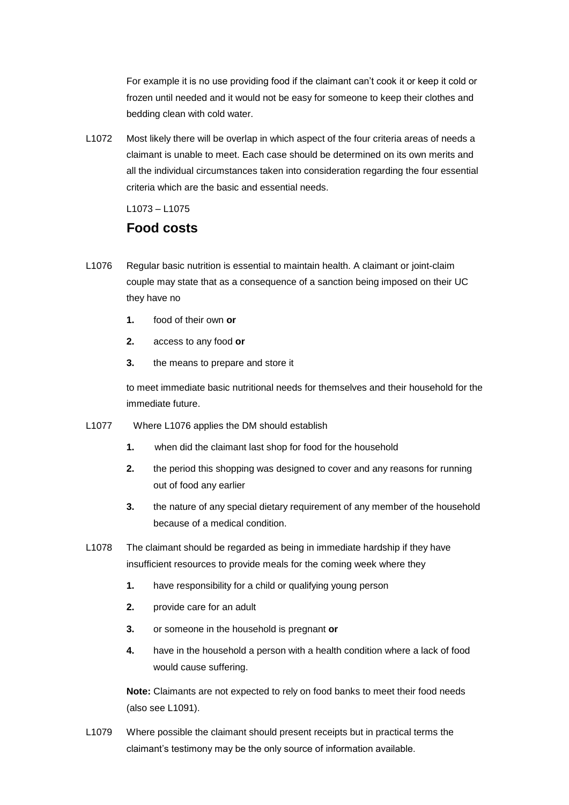For example it is no use providing food if the claimant can't cook it or keep it cold or frozen until needed and it would not be easy for someone to keep their clothes and bedding clean with cold water.

L1072 Most likely there will be overlap in which aspect of the four criteria areas of needs a claimant is unable to meet. Each case should be determined on its own merits and all the individual circumstances taken into consideration regarding the four essential criteria which are the basic and essential needs.

L1073 – L1075

### **Food costs**

- L1076 Regular basic nutrition is essential to maintain health. A claimant or joint-claim couple may state that as a consequence of a sanction being imposed on their UC they have no
	- food of their own or **1.** food of their own **or 2.** access to any food **or**
	-
	- **3.** the means to prepare and store it

to meet immediate basic nutritional needs for themselves and their household for the immediate future.

- L1077 Where L1076 applies the DM should establish
	- **1.** when did the claimant last shop for food for the household
	- **2.** the period this shopping was designed to cover and any reasons for running out of food any earlier
	- **3.** the nature of any special dietary requirement of any member of the household because of a medical condition.
- insufficient resources to provide meals for the coming week where they L1078 The claimant should be regarded as being in immediate hardship if they have
	- $\mathbf 1$ have responsibility for a child or qualifying young person
	- **2.** provide care for an adult
	- **3.** or someone in the household is pregnant **or**
	- **4.** have in the household a person with a health condition where a lack of food would cause suffering.

 (also see L1091). **Note:** Claimants are not expected to rely on food banks to meet their food needs

L1079 Where possible the claimant should present receipts but in practical terms the claimant's testimony may be the only source of information available.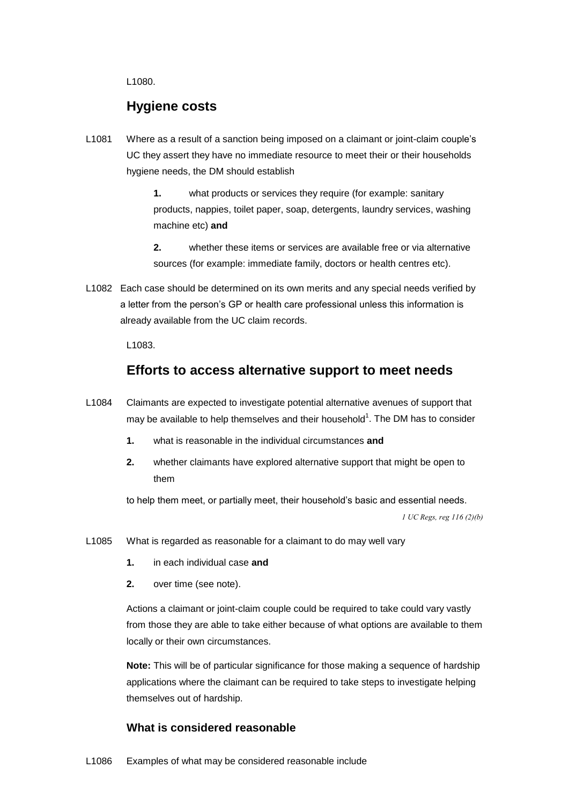L1080.

### **Hygiene costs**

L1081 Where as a result of a sanction being imposed on a claimant or joint-claim couple's UC they assert they have no immediate resource to meet their or their households hygiene needs, the DM should establish

> machine etc) **and 1.** what products or services they require (for example: sanitary products, nappies, toilet paper, soap, detergents, laundry services, washing

> **2.** whether these items or services are available free or via alternative sources (for example: immediate family, doctors or health centres etc).

L1082 Each case should be determined on its own merits and any special needs verified by a letter from the person's GP or health care professional unless this information is already available from the UC claim records.

L1083.

### **Efforts to access alternative support to meet needs**

- may be available to help themselves and their household<sup>1</sup>. The DM has to consider L1084 Claimants are expected to investigate potential alternative avenues of support that
	- **1.** what is reasonable in the individual circumstances **and**
	- them **2.** whether claimants have explored alternative support that might be open to

to help them meet, or partially meet, their household's basic and essential needs.

 *1 UC Regs, reg 116 (2)(b)* 

- L1085 What is regarded as reasonable for a claimant to do may well vary
	- **1.** in each individual case **and**<br>**2.** over time (see note).
	-

Actions a claimant or joint-claim couple could be required to take could vary vastly from those they are able to take either because of what options are available to them locally or their own circumstances.

**Note:** This will be of particular significance for those making a sequence of hardship applications where the claimant can be required to take steps to investigate helping themselves out of hardship.

#### **What is considered reasonable**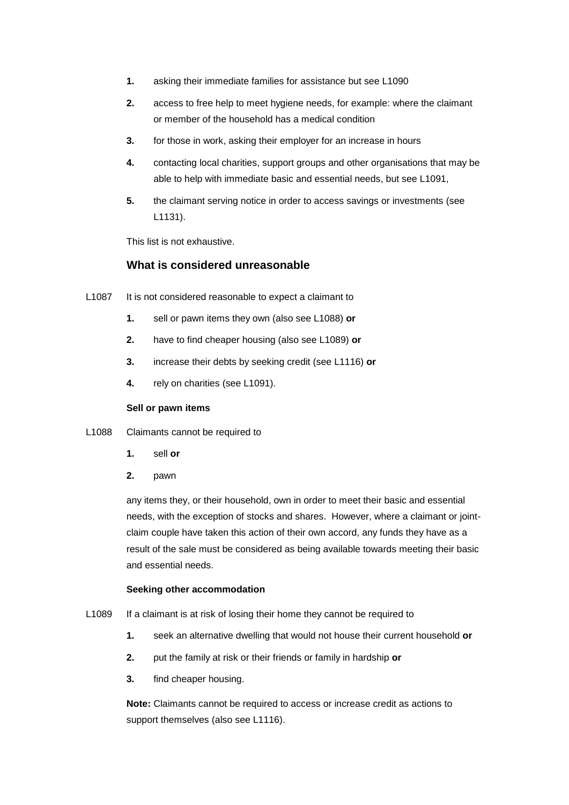- **1.** asking their immediate families for assistance but see L1090
- **2.** access to free help to meet hygiene needs, for example: where the claimant or member of the household has a medical condition
- **3.** for those in work, asking their employer for an increase in hours
- able to help with immediate basic and essential needs, but see L1091, **4.** contacting local charities, support groups and other organisations that may be
- **5.** the claimant serving notice in order to access savings or investments (see L1131).

This list is not exhaustive.

#### **What is considered unreasonable**

- L1087 It is not considered reasonable to expect a claimant to
	- $1.$ sell or pawn items they own (also see L1088) or
	- **2.** have to find cheaper housing (also see L1089) **or**
	- **3.** increase their debts by seeking credit (see L1116) **or**
	- **4.** rely on charities (see L1091).

#### **Sell or pawn items**

- L1088 Claimants cannot be required to
	- $1.$ sell or
	- $2.$ **2.** pawn

any items they, or their household, own in order to meet their basic and essential needs, with the exception of stocks and shares. However, where a claimant or jointclaim couple have taken this action of their own accord, any funds they have as a result of the sale must be considered as being available towards meeting their basic and essential needs.

#### **Seeking other accommodation**

- L1089 If a claimant is at risk of losing their home they cannot be required to
	- **1.** seek an alternative dwelling that would not house their current household **or**
	- **2.** put the family at risk or their friends or family in hardship **or**
	- **3.** find cheaper housing.

 support themselves (also see L1116). **Note:** Claimants cannot be required to access or increase credit as actions to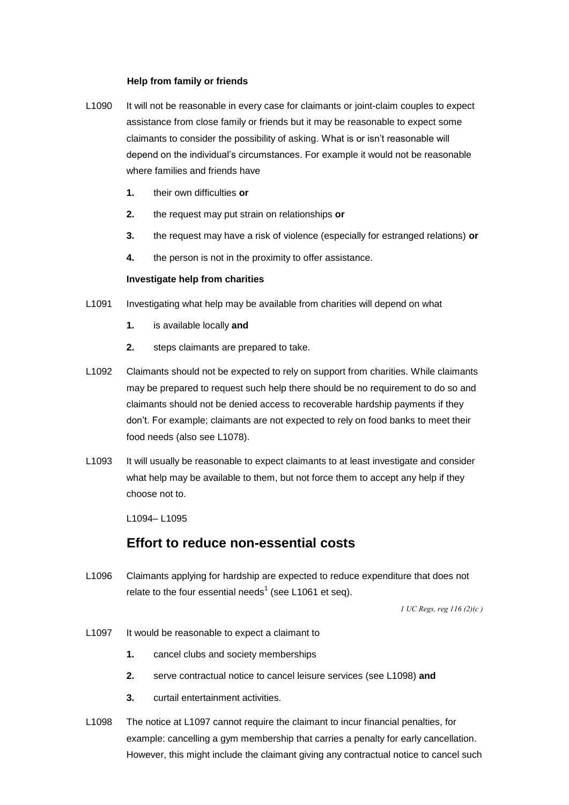#### **Help from family or friends**

- L1090 It will not be reasonable in every case for claimants or joint-claim couples to expect assistance from close family or friends but it may be reasonable to expect some claimants to consider the possibility of asking. What is or isn't reasonable will depend on the individual's circumstances. For example it would not be reasonable where families and friends have
	- **1.** their own difficulties **or**
	- **2.** the request may put strain on relationships **or**
	- **3.** the request may have a risk of violence (especially for estranged relations) **or**
	- **4.** the person is not in the proximity to offer assistance.

#### **Investigate help from charities**

- L1091 Investigating what help may be available from charities will depend on what
	- **1.** is available locally **and**
	- **2.** steps claimants are prepared to take.
- claimants should not be denied access to recoverable hardship payments if they L1092 Claimants should not be expected to rely on support from charities. While claimants may be prepared to request such help there should be no requirement to do so and don't. For example; claimants are not expected to rely on food banks to meet their food needs (also see L1078).
- L<sub>1093</sub> choose not to. It will usually be reasonable to expect claimants to at least investigate and consider what help may be available to them, but not force them to accept any help if they

L1094– L1095

### **Effort to reduce non-essential costs**

 L1096 Claimants applying for hardship are expected to reduce expenditure that does not relate to the four essential needs<sup>1</sup> (see L1061 et seq).

 *1 UC Regs, reg 116 (2)(c )* 

- L1097 It would be reasonable to expect a claimant to
	- **1.** cancel clubs and society memberships
	- **2.** serve contractual notice to cancel leisure services (see L1098) **and**
	- **3.** curtail entertainment activities.
- L1098 The notice at L1097 cannot require the claimant to incur financial penalties, for example: cancelling a gym membership that carries a penalty for early cancellation. However, this might include the claimant giving any contractual notice to cancel such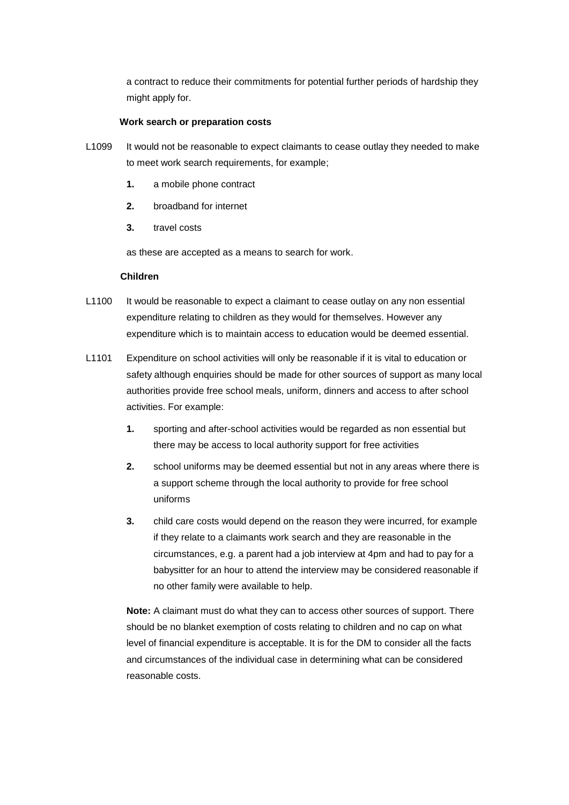a contract to reduce their commitments for potential further periods of hardship they might apply for.

#### **Work search or preparation costs**

- L1099 It would not be reasonable to expect claimants to cease outlay they needed to make to meet work search requirements, for example;
	- **1.** a mobile phone contract
	- **2.** broadband for internet
	- travel costs

**3.** travel costs<br>as these are accepted as a means to search for work.

#### **Children**

- L1100 It would be reasonable to expect a claimant to cease outlay on any non essential expenditure relating to children as they would for themselves. However any expenditure which is to maintain access to education would be deemed essential.
- L1101 Expenditure on school activities will only be reasonable if it is vital to education or safety although enquiries should be made for other sources of support as many local authorities provide free school meals, uniform, dinners and access to after school activities. For example:
	- **1.** sporting and after-school activities would be regarded as non essential but there may be access to local authority support for free activities
	- uniforms **2.** school uniforms may be deemed essential but not in any areas where there is a support scheme through the local authority to provide for free school
	- **3.** child care costs would depend on the reason they were incurred, for example if they relate to a claimants work search and they are reasonable in the circumstances, e.g. a parent had a job interview at 4pm and had to pay for a babysitter for an hour to attend the interview may be considered reasonable if no other family were available to help.

**Note:** A claimant must do what they can to access other sources of support. There should be no blanket exemption of costs relating to children and no cap on what level of financial expenditure is acceptable. It is for the DM to consider all the facts and circumstances of the individual case in determining what can be considered reasonable costs.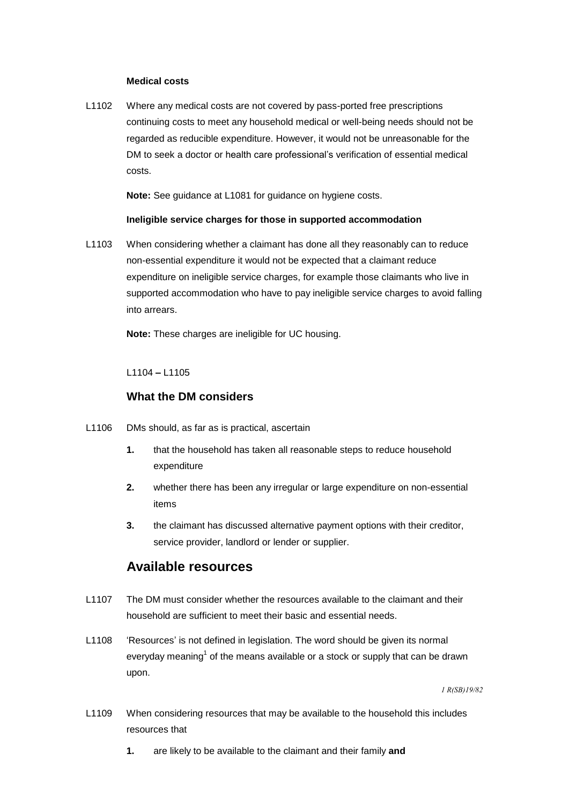#### **Medical costs**

 DM to seek a doctor or health care professional's verification of essential medical L1102 Where any medical costs are not covered by pass-ported free prescriptions continuing costs to meet any household medical or well-being needs should not be regarded as reducible expenditure. However, it would not be unreasonable for the costs.

**Note:** See guidance at L1081 for guidance on hygiene costs.

#### **Ineligible service charges for those in supported accommodation**

L1103 When considering whether a claimant has done all they reasonably can to reduce non-essential expenditure it would not be expected that a claimant reduce expenditure on ineligible service charges, for example those claimants who live in supported accommodation who have to pay ineligible service charges to avoid falling into arrears.

**Note:** These charges are ineligible for UC housing.

#### L1104 **–** L1105

#### **What the DM considers**

- L1106 DMs should, as far as is practical, ascertain
	- **1.** that the household has taken all reasonable steps to reduce household expenditure
	- **2.** whether there has been any irregular or large expenditure on non-essential items
	- **3.** the claimant has discussed alternative payment options with their creditor, service provider, landlord or lender or supplier.

### **Available resources**

- L1107 The DM must consider whether the resources available to the claimant and their household are sufficient to meet their basic and essential needs.
- L1108 'Resources' is not defined in legislation. The word should be given its normal everyday meaning<sup>1</sup> of the means available or a stock or supply that can be drawn upon.

 *1 R(SB)19/82* 

- L1109 When considering resources that may be available to the household this includes resources that
	- **1.** are likely to be available to the claimant and their family **and**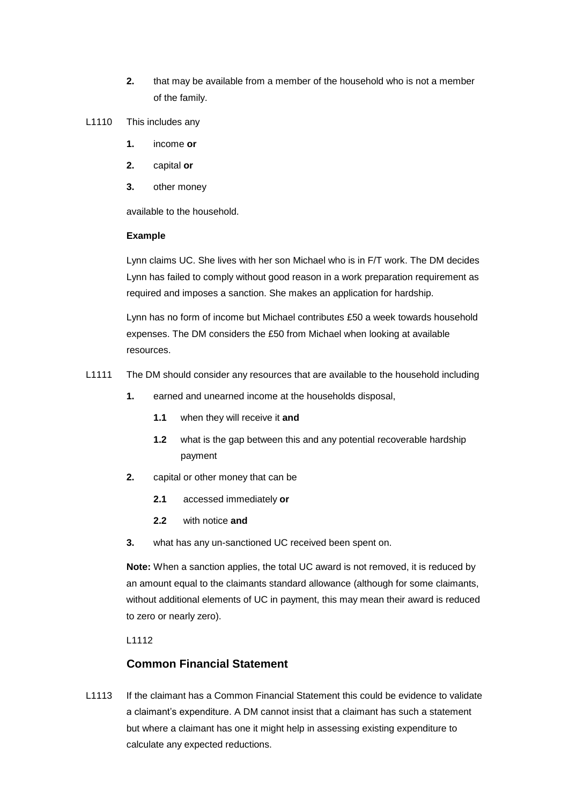- **2.** that may be available from a member of the household who is not a member of the family.
- L1110 This includes any
	- **1.** income **or**
	- **2.** capital **or**
	- **3.** other money

available to the household.

#### **Example**

 Lynn has failed to comply without good reason in a work preparation requirement as Lynn claims UC. She lives with her son Michael who is in F/T work. The DM decides required and imposes a sanction. She makes an application for hardship.

Lynn has no form of income but Michael contributes £50 a week towards household expenses. The DM considers the £50 from Michael when looking at available resources.

- L1111 The DM should consider any resources that are available to the household including
	- **1.** earned and unearned income at the households disposal,
		- **1.1** when they will receive it **and**
		- **1.2** what is the gap between this and any potential recoverable hardship payment
	- **2.** capital or other money that can be
		- $2.1$ **2.1** accessed immediately **or**
		- $2.2$ with notice **and**
	- **3.** what has any un-sanctioned UC received been spent on.

**Note:** When a sanction applies, the total UC award is not removed, it is reduced by an amount equal to the claimants standard allowance (although for some claimants, without additional elements of UC in payment, this may mean their award is reduced to zero or nearly zero).

L1112

### **Common Financial Statement**

L1113 If the claimant has a Common Financial Statement this could be evidence to validate a claimant's expenditure. A DM cannot insist that a claimant has such a statement but where a claimant has one it might help in assessing existing expenditure to calculate any expected reductions.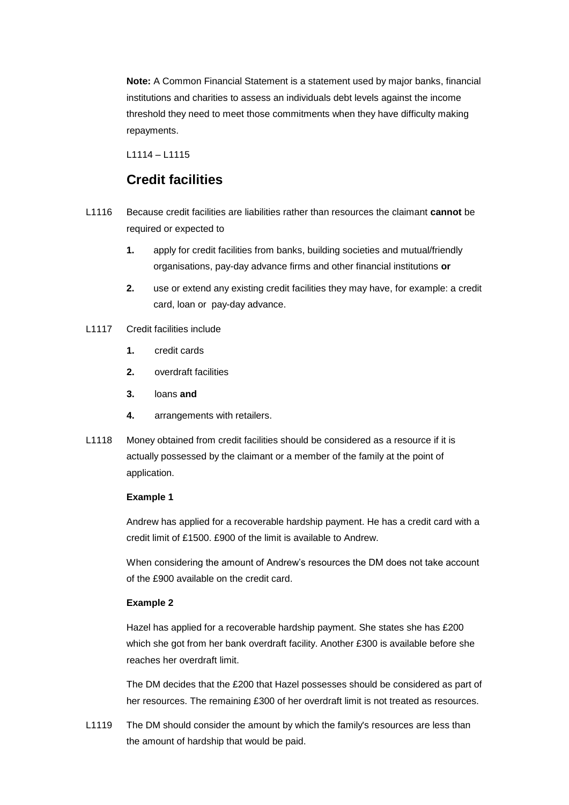**Note:** A Common Financial Statement is a statement used by major banks, financial institutions and charities to assess an individuals debt levels against the income threshold they need to meet those commitments when they have difficulty making repayments.

L1114 – L1115

### **Credit facilities**

- L1116 Because credit facilities are liabilities rather than resources the claimant **cannot** be required or expected to
	- **1.** apply for credit facilities from banks, building societies and mutual/friendly organisations, pay-day advance firms and other financial institutions **or**
	- card, loan or pay-day advance. **2.** use or extend any existing credit facilities they may have, for example: a credit
- L1117 Credit facilities include
	- **1.** credit cards
	- **2.** overdraft facilities
	- 3. **3.** loans **and**
	- **4.** arrangements with retailers.
- L1118 Money obtained from credit facilities should be considered as a resource if it is actually possessed by the claimant or a member of the family at the point of application.

#### **Example 1**

 Andrew has applied for a recoverable hardship payment. He has a credit card with a credit limit of £1500. £900 of the limit is available to Andrew.

When considering the amount of Andrew's resources the DM does not take account of the £900 available on the credit card.

#### **Example 2**

 Hazel has applied for a recoverable hardship payment. She states she has £200 which she got from her bank overdraft facility. Another £300 is available before she reaches her overdraft limit.

The DM decides that the £200 that Hazel possesses should be considered as part of her resources. The remaining £300 of her overdraft limit is not treated as resources.

L1119 The DM should consider the amount by which the family's resources are less than the amount of hardship that would be paid.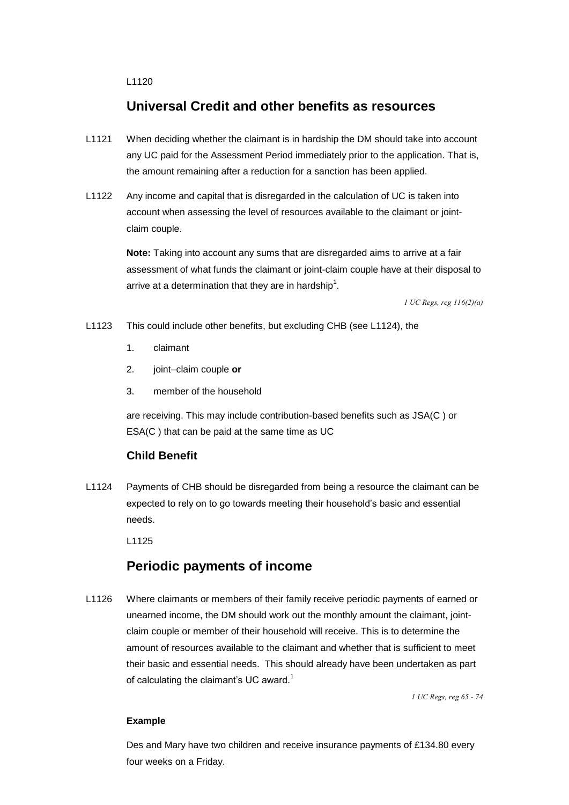L1120

### **Universal Credit and other benefits as resources**

- any UC paid for the Assessment Period immediately prior to the application. That is, L1121 When deciding whether the claimant is in hardship the DM should take into account the amount remaining after a reduction for a sanction has been applied.
- claim couple. L1122 Any income and capital that is disregarded in the calculation of UC is taken into account when assessing the level of resources available to the claimant or joint-

**Note:** Taking into account any sums that are disregarded aims to arrive at a fair assessment of what funds the claimant or joint-claim couple have at their disposal to arrive at a determination that they are in hardship<sup>1</sup>.

 *1 UC Regs, reg 116(2)(a)* 

L1123 This could include other benefits, but excluding CHB (see L1124), the

- 1. claimant
- 2. joint–claim couple **or**
- 3. member of the household

 ESA(C ) that can be paid at the same time as UC are receiving. This may include contribution-based benefits such as JSA(C ) or

### **Child Benefit**

L1124 Payments of CHB should be disregarded from being a resource the claimant can be expected to rely on to go towards meeting their household's basic and essential needs.

L1125

### **Periodic payments of income**

L1126 Where claimants or members of their family receive periodic payments of earned or unearned income, the DM should work out the monthly amount the claimant, jointclaim couple or member of their household will receive. This is to determine the amount of resources available to the claimant and whether that is sufficient to meet their basic and essential needs. This should already have been undertaken as part of calculating the claimant's UC award.<sup>1</sup>

 *1 UC Regs, reg 65 - 74* 

#### **Example**

 Des and Mary have two children and receive insurance payments of £134.80 every four weeks on a Friday.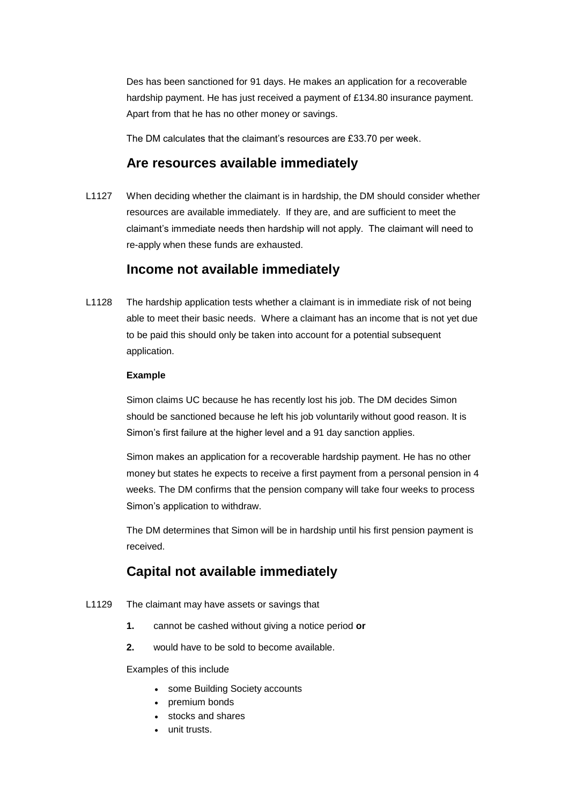Des has been sanctioned for 91 days. He makes an application for a recoverable hardship payment. He has just received a payment of £134.80 insurance payment. Apart from that he has no other money or savings.

The DM calculates that the claimant's resources are £33.70 per week.

### **Are resources available immediately**

L1127 When deciding whether the claimant is in hardship, the DM should consider whether resources are available immediately. If they are, and are sufficient to meet the claimant's immediate needs then hardship will not apply. The claimant will need to re-apply when these funds are exhausted.

### **Income not available immediately**

L1128 The hardship application tests whether a claimant is in immediate risk of not being able to meet their basic needs. Where a claimant has an income that is not yet due to be paid this should only be taken into account for a potential subsequent application.

#### **Example**

Simon claims UC because he has recently lost his job. The DM decides Simon should be sanctioned because he left his job voluntarily without good reason. It is Simon's first failure at the higher level and a 91 day sanction applies.

Simon makes an application for a recoverable hardship payment. He has no other money but states he expects to receive a first payment from a personal pension in 4 weeks. The DM confirms that the pension company will take four weeks to process Simon's application to withdraw.

The DM determines that Simon will be in hardship until his first pension payment is received.

### **Capital not available immediately**

- L1129 The claimant may have assets or savings that
	- **1.** cannot be cashed without giving a notice period **or 2.** would have to be sold to become available.
	-

Examples of this include

- some Building Society accounts
- premium bonds
- stocks and shares
- unit trusts.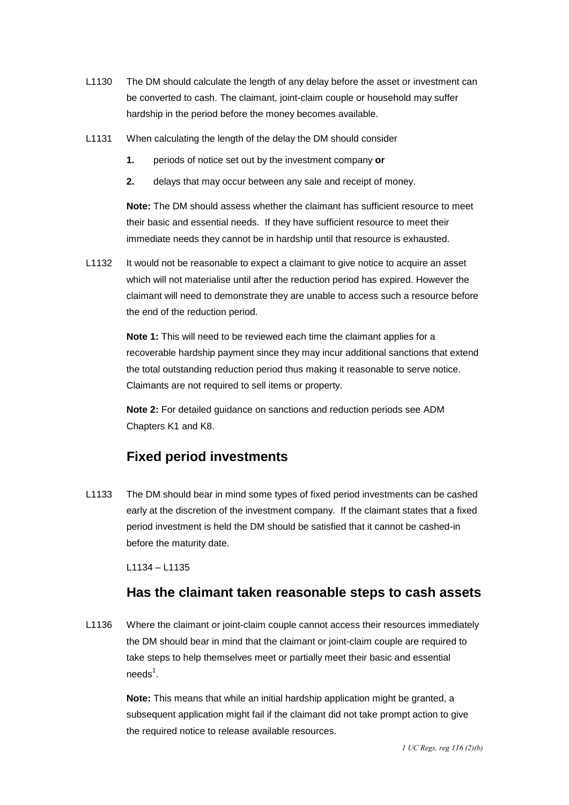- L1130 The DM should calculate the length of any delay before the asset or investment can be converted to cash. The claimant, joint-claim couple or household may suffer hardship in the period before the money becomes available.
- L1131 When calculating the length of the delay the DM should consider
	- **1.** periods of notice set out by the investment company **or**
	- $2.$ **2.** delays that may occur between any sale and receipt of money.

**Note:** The DM should assess whether the claimant has sufficient resource to meet their basic and essential needs. If they have sufficient resource to meet their immediate needs they cannot be in hardship until that resource is exhausted.

L1132 It would not be reasonable to expect a claimant to give notice to acquire an asset which will not materialise until after the reduction period has expired. However the claimant will need to demonstrate they are unable to access such a resource before the end of the reduction period.

> **Note 1:** This will need to be reviewed each time the claimant applies for a recoverable hardship payment since they may incur additional sanctions that extend the total outstanding reduction period thus making it reasonable to serve notice. Claimants are not required to sell items or property.

 **Note 2:** For detailed guidance on sanctions and reduction periods see ADM Chapters K1 and K8.

### **Fixed period investments**

L1133 The DM should bear in mind some types of fixed period investments can be cashed early at the discretion of the investment company. If the claimant states that a fixed period investment is held the DM should be satisfied that it cannot be cashed-in before the maturity date.

L1134 – L1135

### **Has the claimant taken reasonable steps to cash assets**

 the DM should bear in mind that the claimant or joint-claim couple are required to L1136 Where the claimant or joint-claim couple cannot access their resources immediately take steps to help themselves meet or partially meet their basic and essential  $need$ s<sup>1</sup>.

> the required notice to release available resources. **Note:** This means that while an initial hardship application might be granted, a subsequent application might fail if the claimant did not take prompt action to give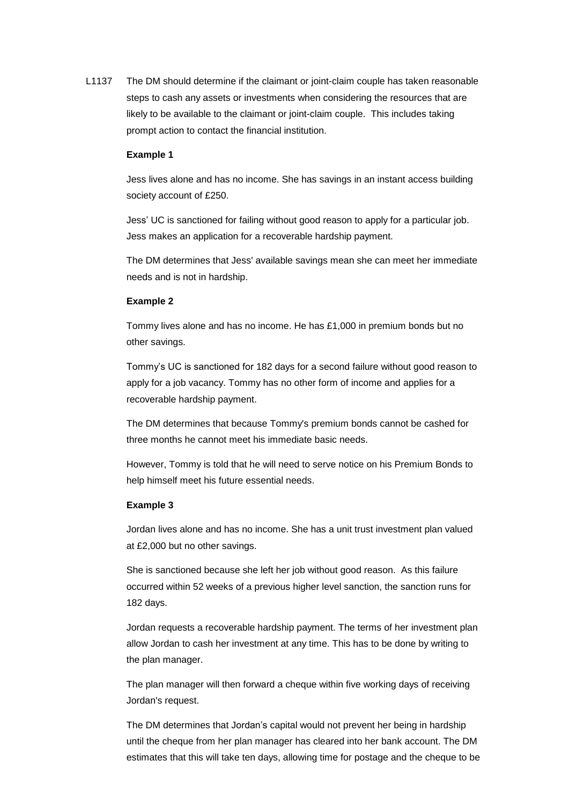L1137 The DM should determine if the claimant or joint-claim couple has taken reasonable steps to cash any assets or investments when considering the resources that are likely to be available to the claimant or joint-claim couple. This includes taking prompt action to contact the financial institution.

#### **Example 1**

Jess lives alone and has no income. She has savings in an instant access building society account of £250.

 Jess' UC is sanctioned for failing without good reason to apply for a particular job. Jess makes an application for a recoverable hardship payment.

The DM determines that Jess' available savings mean she can meet her immediate needs and is not in hardship.

#### **Example 2**

 Tommy lives alone and has no income. He has £1,000 in premium bonds but no other savings.

 recoverable hardship payment. Tommy's UC is sanctioned for 182 days for a second failure without good reason to apply for a job vacancy. Tommy has no other form of income and applies for a

The DM determines that because Tommy's premium bonds cannot be cashed for three months he cannot meet his immediate basic needs.

However, Tommy is told that he will need to serve notice on his Premium Bonds to help himself meet his future essential needs.

#### **Example 3**

Jordan lives alone and has no income. She has a unit trust investment plan valued at £2,000 but no other savings.

She is sanctioned because she left her job without good reason. As this failure occurred within 52 weeks of a previous higher level sanction, the sanction runs for 182 days.

 Jordan requests a recoverable hardship payment. The terms of her investment plan allow Jordan to cash her investment at any time. This has to be done by writing to the plan manager.

The plan manager will then forward a cheque within five working days of receiving Jordan's request.

The DM determines that Jordan's capital would not prevent her being in hardship until the cheque from her plan manager has cleared into her bank account. The DM estimates that this will take ten days, allowing time for postage and the cheque to be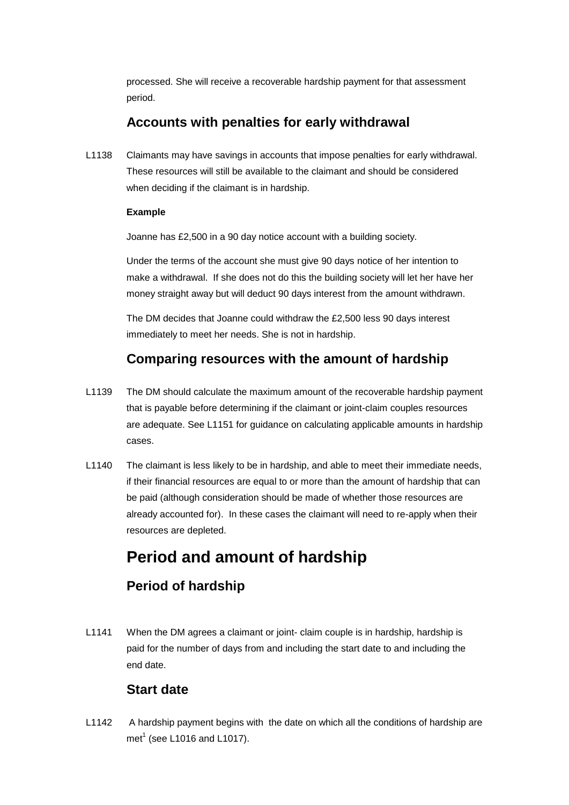processed. She will receive a recoverable hardship payment for that assessment period.

### **Accounts with penalties for early withdrawal**

L1138 Claimants may have savings in accounts that impose penalties for early withdrawal. These resources will still be available to the claimant and should be considered when deciding if the claimant is in hardship.

#### **Example**

Joanne has £2,500 in a 90 day notice account with a building society.

Under the terms of the account she must give 90 days notice of her intention to make a withdrawal. If she does not do this the building society will let her have her money straight away but will deduct 90 days interest from the amount withdrawn.

The DM decides that Joanne could withdraw the £2,500 less 90 days interest immediately to meet her needs. She is not in hardship.

### **Comparing resources with the amount of hardship**

- L1139 The DM should calculate the maximum amount of the recoverable hardship payment that is payable before determining if the claimant or joint-claim couples resources are adequate. See L1151 for guidance on calculating applicable amounts in hardship cases.
- L1140 The claimant is less likely to be in hardship, and able to meet their immediate needs, if their financial resources are equal to or more than the amount of hardship that can be paid (although consideration should be made of whether those resources are already accounted for). In these cases the claimant will need to re-apply when their resources are depleted.

## **Period and amount of hardship**

### **Period of hardship**

L1141 When the DM agrees a claimant or joint- claim couple is in hardship, hardship is paid for the number of days from and including the start date to and including the end date.

### **Start date**

L1142 A hardship payment begins with the date on which all the conditions of hardship are met<sup>1</sup> (see L1016 and L1017).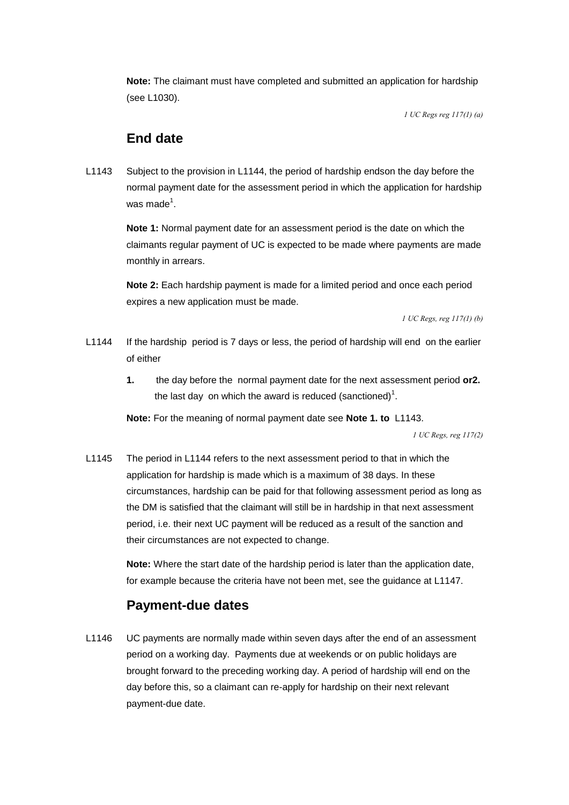**Note:** The claimant must have completed and submitted an application for hardship (see L1030).

 *1 UC Regs reg 117(1) (a)* 

### **End date**

L1143 Subject to the provision in L1144, the period of hardship endson the day before the normal payment date for the assessment period in which the application for hardship was made $^1$ .

> **Note 1:** Normal payment date for an assessment period is the date on which the claimants regular payment of UC is expected to be made where payments are made monthly in arrears.

**Note 2:** Each hardship payment is made for a limited period and once each period expires a new application must be made.

 *1 UC Regs, reg 117(1) (b)* 

- of either L1144 If the hardship period is 7 days or less, the period of hardship will end on the earlier
	- **1.** the day before the normal payment date for the next assessment period **or2.**  the last day on which the award is reduced (sanctioned)<sup>1</sup>.

**Note:** For the meaning of normal payment date see **Note 1. to** L1143.

 *1 UC Regs, reg 117(2)* 

 L1145 The period in L1144 refers to the next assessment period to that in which the application for hardship is made which is a maximum of 38 days. In these circumstances, hardship can be paid for that following assessment period as long as their circumstances are not expected to change. the DM is satisfied that the claimant will still be in hardship in that next assessment period, i.e. their next UC payment will be reduced as a result of the sanction and

> **Note:** Where the start date of the hardship period is later than the application date, for example because the criteria have not been met, see the guidance at L1147.

### **Payment-due dates**

L1146 UC payments are normally made within seven days after the end of an assessment period on a working day. Payments due at weekends or on public holidays are brought forward to the preceding working day. A period of hardship will end on the day before this, so a claimant can re-apply for hardship on their next relevant payment-due date.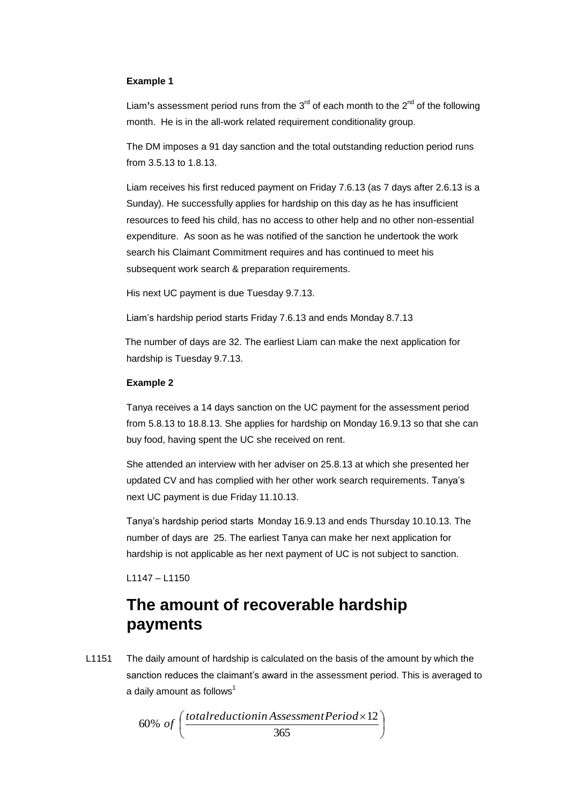#### **Example 1**

Liam's assessment period runs from the  $3<sup>rd</sup>$  of each month to the  $2<sup>nd</sup>$  of the following month. He is in the all-work related requirement conditionality group.

 from 3.5.13 to 1.8.13. The DM imposes a 91 day sanction and the total outstanding reduction period runs

 Liam receives his first reduced payment on Friday 7.6.13 (as 7 days after 2.6.13 is a Sunday). He successfully applies for hardship on this day as he has insufficient resources to feed his child, has no access to other help and no other non-essential expenditure. As soon as he was notified of the sanction he undertook the work search his Claimant Commitment requires and has continued to meet his subsequent work search & preparation requirements.

His next UC payment is due Tuesday 9.7.13.

Liam's hardship period starts Friday 7.6.13 and ends Monday 8.7.13

 hardship is Tuesday 9.7.13. The number of days are 32. The earliest Liam can make the next application for

#### **Example 2**

 Tanya receives a 14 days sanction on the UC payment for the assessment period from 5.8.13 to 18.8.13. She applies for hardship on Monday 16.9.13 so that she can buy food, having spent the UC she received on rent.

She attended an interview with her adviser on 25.8.13 at which she presented her updated CV and has complied with her other work search requirements. Tanya's next UC payment is due Friday 11.10.13.

 Tanya's hardship period starts Monday 16.9.13 and ends Thursday 10.10.13. The number of days are 25. The earliest Tanya can make her next application for hardship is not applicable as her next payment of UC is not subject to sanction.

L1147 – L1150

## **The amount of recoverable hardship payments**

L1151 The daily amount of hardship is calculated on the basis of the amount by which the sanction reduces the claimant's award in the assessment period. This is averaged to a daily amount as follows $<sup>1</sup>$ </sup>

 $\overline{\phantom{a}}$  $\big)$  $\left(\frac{total reduction in Assessment Period \times 12}{2000}\right)$  $\setminus$  $\it (total reduction in Assessment Period \times$ 365 % and a smooth as follows<br>60% of  $\Big(\frac{total reduction in AssessmentPeriod \times 12}{365}\Big)$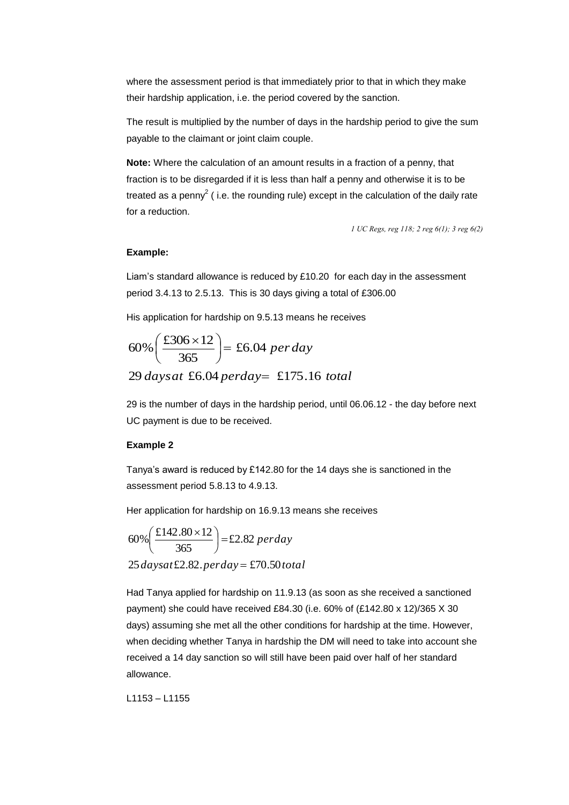where the assessment period is that immediately prior to that in which they make their hardship application, i.e. the period covered by the sanction.

The result is multiplied by the number of days in the hardship period to give the sum payable to the claimant or joint claim couple.

**Note:** Where the calculation of an amount results in a fraction of a penny, that fraction is to be disregarded if it is less than half a penny and otherwise it is to be treated as a penny<sup>2</sup> (i.e. the rounding rule) except in the calculation of the daily rate for a reduction.

 *1 UC Regs, reg 118; 2 reg 6(1); 3 reg 6(2)* 

#### **Example:**

 Liam's standard allowance is reduced by £10.20 for each day in the assessment period 3.4.13 to 2.5.13. This is 30 days giving a total of £306.00

His application for hardship on 9.5.13 means he receives

$$
60\% \left(\frac{\text{\pounds}306 \times 12}{365}\right) = \text{\pounds}6.04 \text{ per day}
$$
  
29 days at \text{\pounds}6.04 perday = \text{\pounds}175.16 total

 29 is the number of days in the hardship period, until 06.06.12 - the day before next UC payment is due to be received.

#### **Example 2**

 assessment period 5.8.13 to 4.9.13. Tanya's award is reduced by £142.80 for the 14 days she is sanctioned in the

Her application for hardship on 16.9.13 means she receives

$$
60\% \left(\frac{\text{\textsterling}142.80 \times 12}{365}\right) = \text{\textsterling}2.82 \text{ per day}
$$
  
25 daysat \text{\textsterling}2.82.perday = \text{\textsterling}70.50 total

 days) assuming she met all the other conditions for hardship at the time. However, Had Tanya applied for hardship on 11.9.13 (as soon as she received a sanctioned payment) she could have received £84.30 (i.e. 60% of (£142.80 x 12)/365 X 30 when deciding whether Tanya in hardship the DM will need to take into account she received a 14 day sanction so will still have been paid over half of her standard allowance.

L1153 – L1155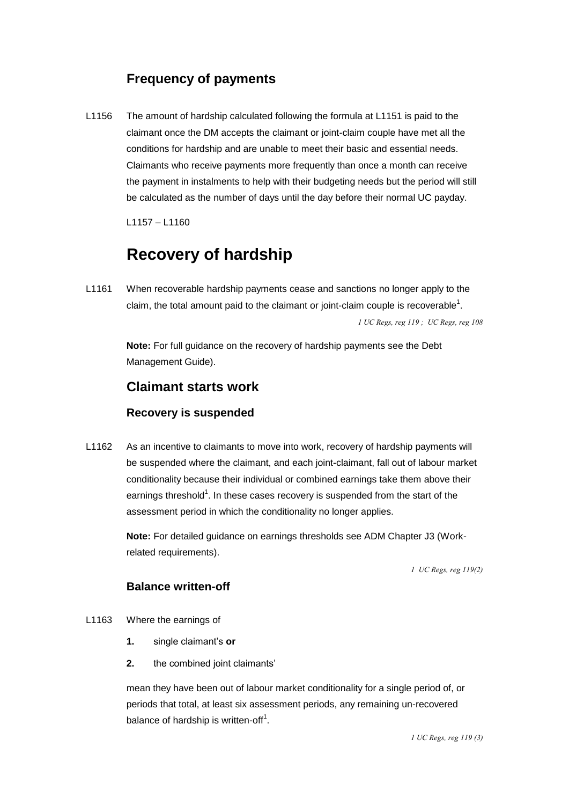### **Frequency of payments**

 be calculated as the number of days until the day before their normal UC payday. L1156 The amount of hardship calculated following the formula at L1151 is paid to the claimant once the DM accepts the claimant or joint-claim couple have met all the conditions for hardship and are unable to meet their basic and essential needs. Claimants who receive payments more frequently than once a month can receive the payment in instalments to help with their budgeting needs but the period will still

L1157 – L1160

## **Recovery of hardship**

L1161 When recoverable hardship payments cease and sanctions no longer apply to the claim, the total amount paid to the claimant or joint-claim couple is recoverable<sup>1</sup>.

 *1 UC Regs, reg 119 ; UC Regs, reg 108* 

**Note:** For full guidance on the recovery of hardship payments see the Debt Management Guide).

### **Claimant starts work**

#### **Recovery is suspended**

L1162 As an incentive to claimants to move into work, recovery of hardship payments will be suspended where the claimant, and each joint-claimant, fall out of labour market conditionality because their individual or combined earnings take them above their earnings threshold<sup>1</sup>. In these cases recovery is suspended from the start of the assessment period in which the conditionality no longer applies.

> **Note:** For detailed guidance on earnings thresholds see ADM Chapter J3 (Workrelated requirements).

> > *1 UC Regs, reg 119(2)*

#### **Balance written-off**

- L1163 Where the earnings of
	- single claimant's or
	- **1.** single claimant's **or 2.** the combined joint claimants'

mean they have been out of labour market conditionality for a single period of, or periods that total, at least six assessment periods, any remaining un-recovered balance of hardship is written-off<sup>1</sup>.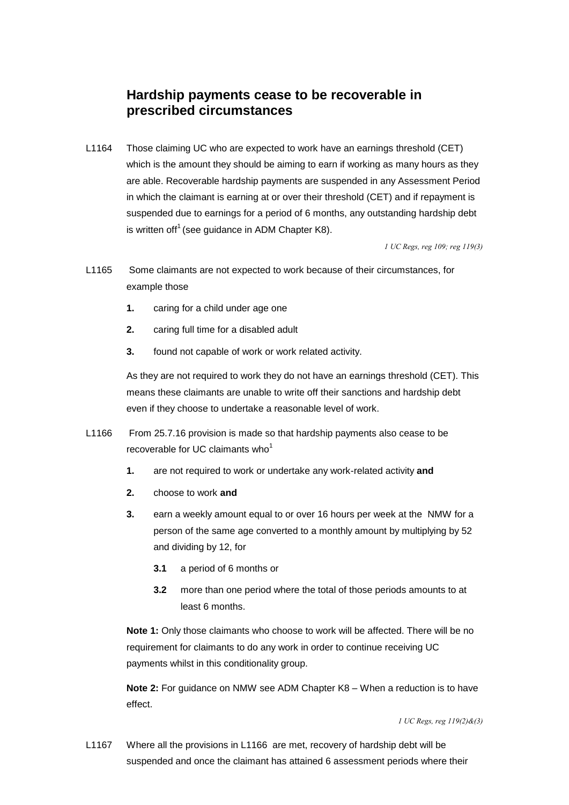### **Hardship payments cease to be recoverable in prescribed circumstances**

L1164 Those claiming UC who are expected to work have an earnings threshold (CET) which is the amount they should be aiming to earn if working as many hours as they are able. Recoverable hardship payments are suspended in any Assessment Period in which the claimant is earning at or over their threshold (CET) and if repayment is suspended due to earnings for a period of 6 months, any outstanding hardship debt is written of  $f^1$  (see guidance in ADM Chapter K8).

 *1 UC Regs, reg 109; reg 119(3)* 

- L1165 Some claimants are not expected to work because of their circumstances, for example those
	- $1.$ caring for a child under age one
	- $2.$ **2.** caring full time for a disabled adult
	- 3. found not capable of work or work related activity.

As they are not required to work they do not have an earnings threshold (CET). This means these claimants are unable to write off their sanctions and hardship debt even if they choose to undertake a reasonable level of work.

- L1166 From 25.7.16 provision is made so that hardship payments also cease to be recoverable for UC claimants who $<sup>1</sup>$ </sup>
	- $1.$ are not required to work or undertake any work-related activity and
	- $2.$ **2.** choose to work **and**
	- 3. **3.** earn a weekly amount equal to or over 16 hours per week at the NMW for a person of the same age converted to a monthly amount by multiplying by 52 and dividing by 12, for
		- **3.1** a period of 6 months or
		- $3.2$ **3.2** more than one period where the total of those periods amounts to at least 6 months.

**Note 1:** Only those claimants who choose to work will be affected. There will be no requirement for claimants to do any work in order to continue receiving UC payments whilst in this conditionality group.

 **Note 2:** For guidance on NMW see ADM Chapter K8 – When a reduction is to have effect.

 *1 UC Regs, reg 119(2)&(3)* 

L1167 Where all the provisions in L1166 are met, recovery of hardship debt will be suspended and once the claimant has attained 6 assessment periods where their